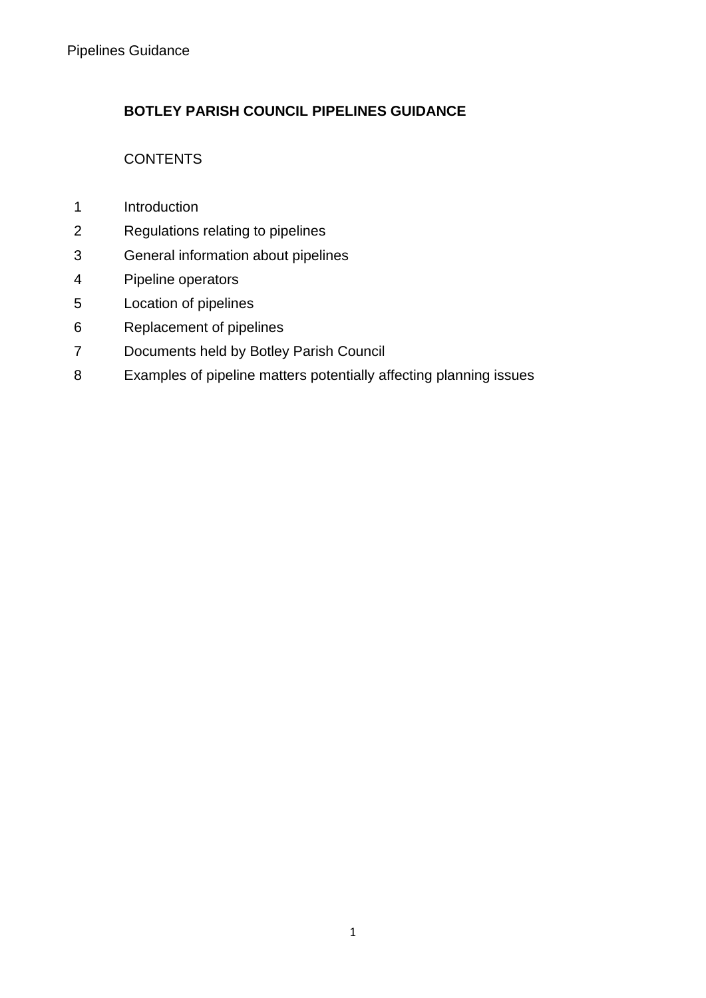# **BOTLEY PARISH COUNCIL PIPELINES GUIDANCE**

# **CONTENTS**

- Introduction
- Regulations relating to pipelines
- General information about pipelines
- Pipeline operators
- Location of pipelines
- Replacement of pipelines
- Documents held by Botley Parish Council
- Examples of pipeline matters potentially affecting planning issues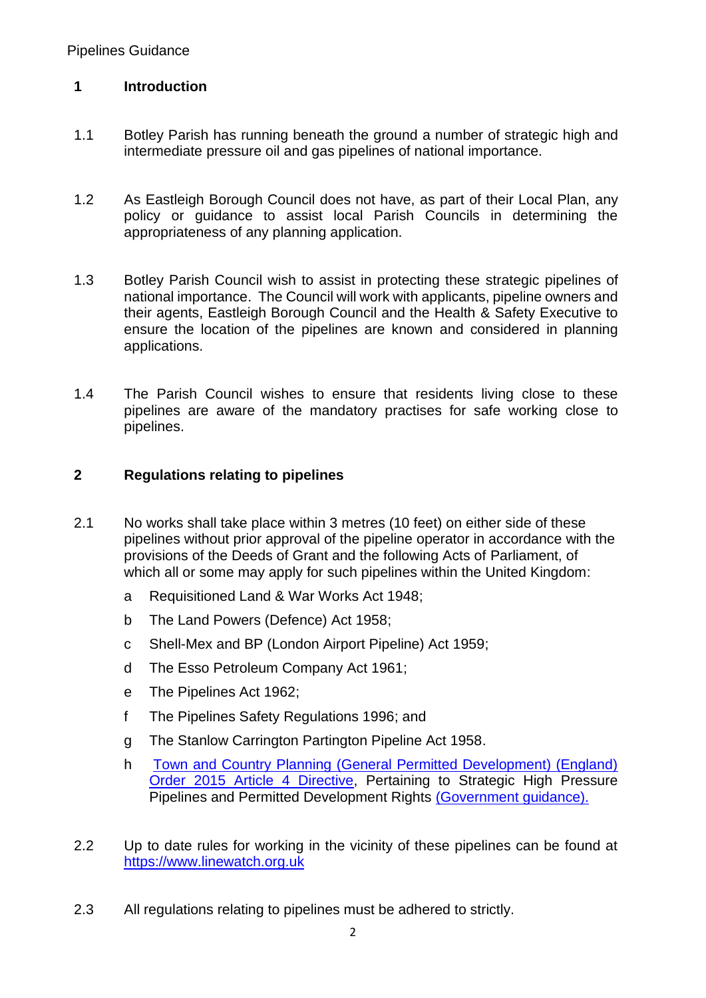# **1 Introduction**

- 1.1 Botley Parish has running beneath the ground a number of strategic high and intermediate pressure oil and gas pipelines of national importance.
- 1.2 As Eastleigh Borough Council does not have, as part of their Local Plan, any policy or guidance to assist local Parish Councils in determining the appropriateness of any planning application.
- 1.3 Botley Parish Council wish to assist in protecting these strategic pipelines of national importance. The Council will work with applicants, pipeline owners and their agents, Eastleigh Borough Council and the Health & Safety Executive to ensure the location of the pipelines are known and considered in planning applications.
- 1.4 The Parish Council wishes to ensure that residents living close to these pipelines are aware of the mandatory practises for safe working close to pipelines.

### **2 Regulations relating to pipelines**

- 2.1 No works shall take place within 3 metres (10 feet) on either side of these pipelines without prior approval of the pipeline operator in accordance with the provisions of the Deeds of Grant and the following Acts of Parliament, of which all or some may apply for such pipelines within the United Kingdom:
	- a Requisitioned Land & War Works Act 1948;
	- b The Land Powers (Defence) Act 1958;
	- c Shell-Mex and BP (London Airport Pipeline) Act 1959;
	- d The Esso Petroleum Company Act 1961;
	- e The Pipelines Act 1962;
	- f The Pipelines Safety Regulations 1996; and
	- g The Stanlow Carrington Partington Pipeline Act 1958.
	- h [Town and Country Planning \(General Permitted Development\) \(England\)](http://www.legislation.gov.uk/uksi/2015/596)  [Order 2015 Article 4 Directive,](http://www.legislation.gov.uk/uksi/2015/596) Pertaining to Strategic High Pressure Pipelines and Permitted Development Rights [\(Government guidance\).](https://www.gov.uk/guidance/when-is-permission-required#What-are-permitted-development-rights)
- 2.2 Up to date rules for working in the vicinity of these pipelines can be found at [https://www.linewatch.org.uk](https://www.linewatch.org.uk/)
- 2.3 All regulations relating to pipelines must be adhered to strictly.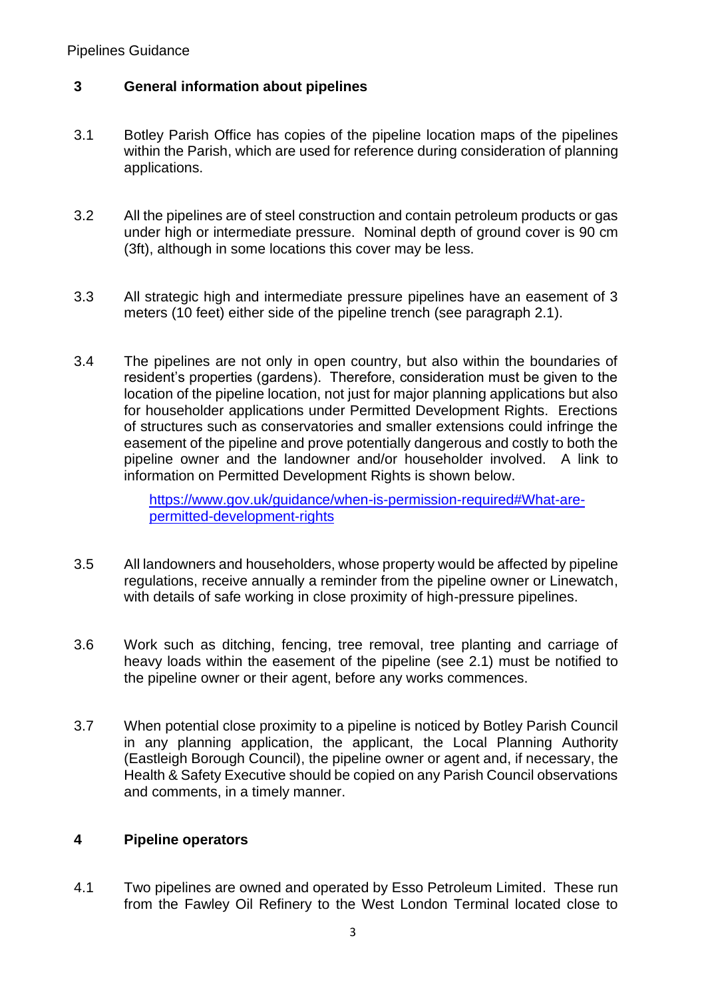Pipelines Guidance

## **3 General information about pipelines**

- 3.1 Botley Parish Office has copies of the pipeline location maps of the pipelines within the Parish, which are used for reference during consideration of planning applications.
- 3.2 All the pipelines are of steel construction and contain petroleum products or gas under high or intermediate pressure. Nominal depth of ground cover is 90 cm (3ft), although in some locations this cover may be less.
- 3.3 All strategic high and intermediate pressure pipelines have an easement of 3 meters (10 feet) either side of the pipeline trench (see paragraph 2.1).
- 3.4 The pipelines are not only in open country, but also within the boundaries of resident's properties (gardens). Therefore, consideration must be given to the location of the pipeline location, not just for major planning applications but also for householder applications under Permitted Development Rights. Erections of structures such as conservatories and smaller extensions could infringe the easement of the pipeline and prove potentially dangerous and costly to both the pipeline owner and the landowner and/or householder involved. A link to information on Permitted Development Rights is shown below.

[https://www.gov.uk/guidance/when-is-permission-required#What-are](https://www.gov.uk/guidance/when-is-permission-required#What-are-permitted-development-rights)[permitted-development-rights](https://www.gov.uk/guidance/when-is-permission-required#What-are-permitted-development-rights)

- 3.5 All landowners and householders, whose property would be affected by pipeline regulations, receive annually a reminder from the pipeline owner or Linewatch, with details of safe working in close proximity of high-pressure pipelines.
- 3.6 Work such as ditching, fencing, tree removal, tree planting and carriage of heavy loads within the easement of the pipeline (see 2.1) must be notified to the pipeline owner or their agent, before any works commences.
- 3.7 When potential close proximity to a pipeline is noticed by Botley Parish Council in any planning application, the applicant, the Local Planning Authority (Eastleigh Borough Council), the pipeline owner or agent and, if necessary, the Health & Safety Executive should be copied on any Parish Council observations and comments, in a timely manner.

#### **4 Pipeline operators**

4.1 Two pipelines are owned and operated by Esso Petroleum Limited. These run from the Fawley Oil Refinery to the West London Terminal located close to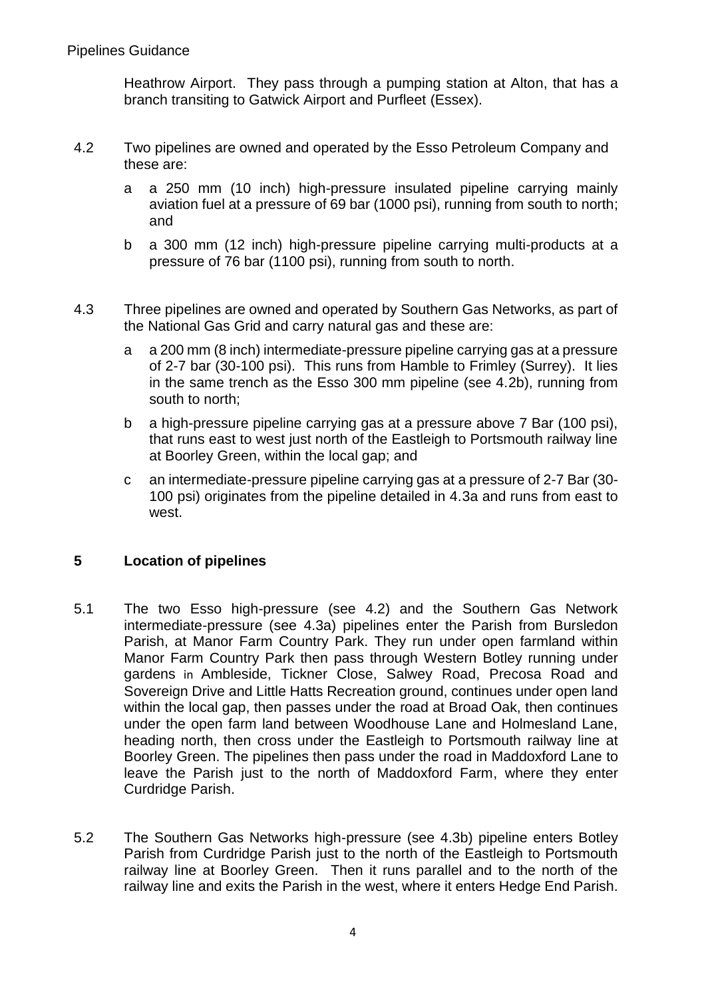Heathrow Airport. They pass through a pumping station at Alton, that has a branch transiting to Gatwick Airport and Purfleet (Essex).

- 4.2 Two pipelines are owned and operated by the Esso Petroleum Company and these are:
	- a a 250 mm (10 inch) high-pressure insulated pipeline carrying mainly aviation fuel at a pressure of 69 bar (1000 psi), running from south to north; and
	- b a 300 mm (12 inch) high-pressure pipeline carrying multi-products at a pressure of 76 bar (1100 psi), running from south to north.
- 4.3 Three pipelines are owned and operated by Southern Gas Networks, as part of the National Gas Grid and carry natural gas and these are:
	- a a 200 mm (8 inch) intermediate-pressure pipeline carrying gas at a pressure of 2-7 bar (30-100 psi). This runs from Hamble to Frimley (Surrey). It lies in the same trench as the Esso 300 mm pipeline (see 4.2b), running from south to north;
	- b a high-pressure pipeline carrying gas at a pressure above 7 Bar (100 psi), that runs east to west just north of the Eastleigh to Portsmouth railway line at Boorley Green, within the local gap; and
	- c an intermediate-pressure pipeline carrying gas at a pressure of 2-7 Bar (30- 100 psi) originates from the pipeline detailed in 4.3a and runs from east to west.

### **5 Location of pipelines**

- 5.1 The two Esso high-pressure (see 4.2) and the Southern Gas Network intermediate-pressure (see 4.3a) pipelines enter the Parish from Bursledon Parish, at Manor Farm Country Park. They run under open farmland within Manor Farm Country Park then pass through Western Botley running under gardens in Ambleside, Tickner Close, Salwey Road, Precosa Road and Sovereign Drive and Little Hatts Recreation ground, continues under open land within the local gap, then passes under the road at Broad Oak, then continues under the open farm land between Woodhouse Lane and Holmesland Lane, heading north, then cross under the Eastleigh to Portsmouth railway line at Boorley Green. The pipelines then pass under the road in Maddoxford Lane to leave the Parish just to the north of Maddoxford Farm, where they enter Curdridge Parish.
- 5.2 The Southern Gas Networks high-pressure (see 4.3b) pipeline enters Botley Parish from Curdridge Parish just to the north of the Eastleigh to Portsmouth railway line at Boorley Green. Then it runs parallel and to the north of the railway line and exits the Parish in the west, where it enters Hedge End Parish.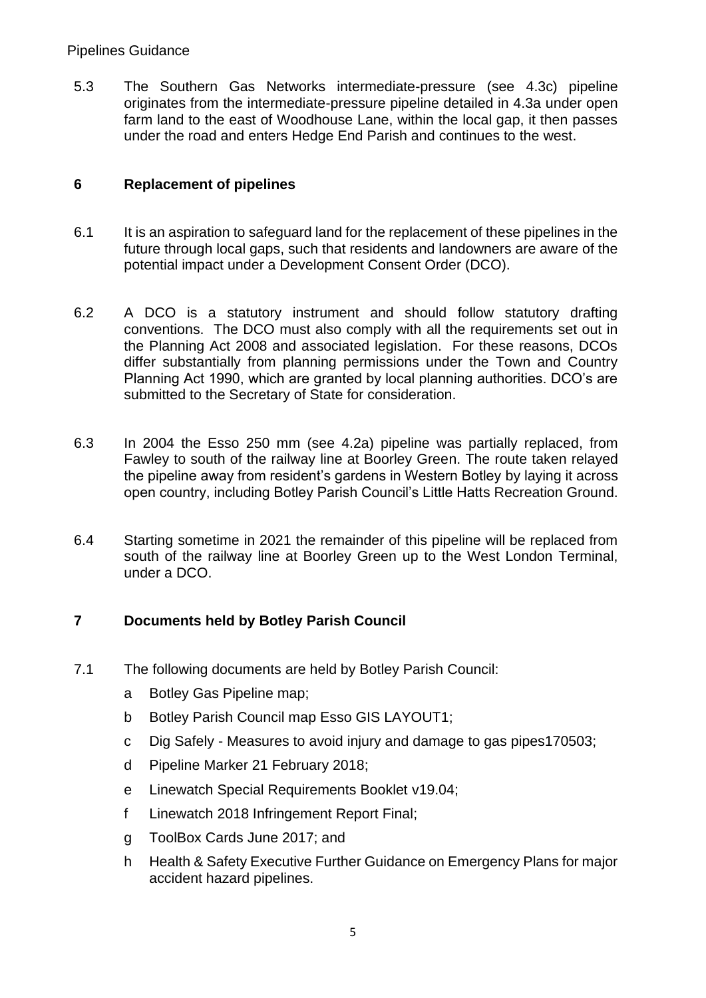#### Pipelines Guidance

5.3 The Southern Gas Networks intermediate-pressure (see 4.3c) pipeline originates from the intermediate-pressure pipeline detailed in 4.3a under open farm land to the east of Woodhouse Lane, within the local gap, it then passes under the road and enters Hedge End Parish and continues to the west.

# **6 Replacement of pipelines**

- 6.1 It is an aspiration to safeguard land for the replacement of these pipelines in the future through local gaps, such that residents and landowners are aware of the potential impact under a Development Consent Order (DCO).
- 6.2 A DCO is a statutory instrument and should follow statutory drafting conventions. The DCO must also comply with all the requirements set out in the Planning Act 2008 and associated legislation. For these reasons, DCOs differ substantially from planning permissions under the Town and Country Planning Act 1990, which are granted by local planning authorities. DCO's are submitted to the Secretary of State for consideration.
- 6.3 In 2004 the Esso 250 mm (see 4.2a) pipeline was partially replaced, from Fawley to south of the railway line at Boorley Green. The route taken relayed the pipeline away from resident's gardens in Western Botley by laying it across open country, including Botley Parish Council's Little Hatts Recreation Ground.
- 6.4 Starting sometime in 2021 the remainder of this pipeline will be replaced from south of the railway line at Boorley Green up to the West London Terminal, under a DCO.

### **7 Documents held by Botley Parish Council**

- 7.1 The following documents are held by Botley Parish Council:
	- a Botley Gas Pipeline map;
	- b Botley Parish Council map Esso GIS LAYOUT1;
	- c Dig Safely Measures to avoid injury and damage to gas pipes170503;
	- d Pipeline Marker 21 February 2018;
	- e Linewatch Special Requirements Booklet v19.04;
	- f Linewatch 2018 Infringement Report Final;
	- g ToolBox Cards June 2017; and
	- h Health & Safety Executive Further Guidance on Emergency Plans for major accident hazard pipelines.